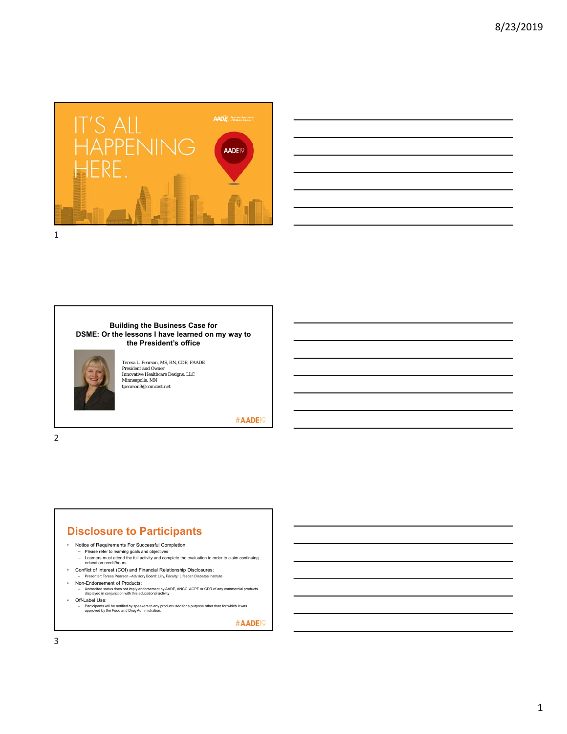



#### **Building the Business Case for DSME: Or the lessons I have learned on my way to the President's office**



Teresa L. Pearson, MS, RN, CDE, FAADE President and Owner Innovative Healthcare Designs, LLC Minneapolis, MN tpearson9@comcast.net

#AADE<sup>19</sup>

# 2

### **Disclosure to Participants**

- Notice of Requirements For Successful Completion
	-
	- Please refer to learning goals and objectives Learners must attend the full activity and complete the evaluation in order to claim continuing education credit/hours
- Conflict of Interest (COI) and Financial Relationship Disclosures:
	- Presenter: Teresa Pearson –Advisory Board: Lilly, Faculty: Lifescan Diabetes Institute
- Non-Endorsement of Products:
	- Accredited status does not imply endorsement by AADE, ANCC, ACPE or CDR of any commercial products displayed in conjunction with this educational activity
- Off-Label Use:
	- Participants will be notified by speakers to any product used for a purpose other than for which it was approved by the Food and Drug Administration.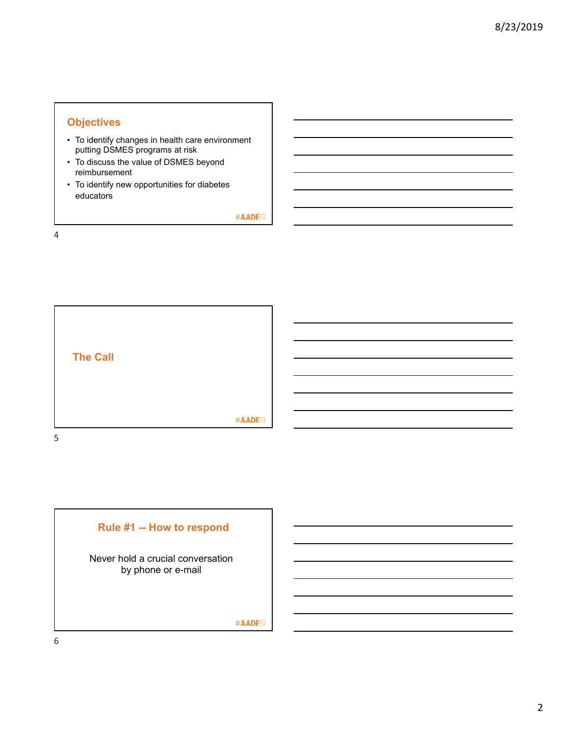### **Objectives**

- To identify changes in health care environment putting DSMES programs at risk
- To discuss the value of DSMES beyond reimbursement
- To identify new opportunities for diabetes educators

#AADE<sup>19</sup>



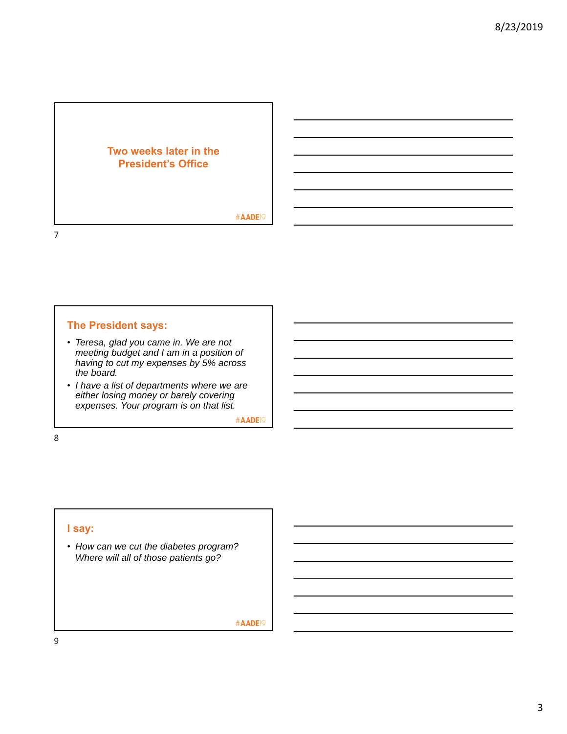### **Two weeks later in the President's Office**

#AADE<sup>19</sup>

### **The President says:**

- *Teresa, glad you came in. We are not meeting budget and I am in a position of having to cut my expenses by 5% across the board.*
- *I have a list of departments where we are either losing money or barely covering expenses. Your program is on that list.*

#AADE<sup>19</sup>

8

7

### **I say:**

• *How can we cut the diabetes program? Where will all of those patients go?*

#AADE<sup>19</sup>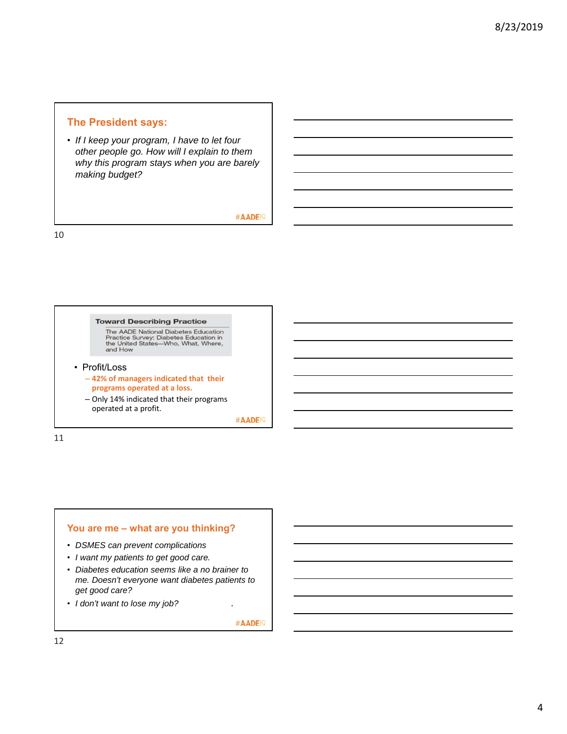### **The President says:**

• *If I keep your program, I have to let four other people go. How will I explain to them why this program stays when you are barely making budget?*

#AADE<sup>19</sup>

10

#### **Toward Describing Practice**

The AADE National Diabetes Education<br>Practice Survey: Diabetes Education in<br>the United States—Who, What, Where,<br>and How

#### • Profit/Loss

- **42% of managers indicated that their programs operated at a loss.**
- Only 14% indicated that their programs operated at a profit.

#AADE<sup>19</sup>

11

### **You are me – what are you thinking?**

- *DSMES can prevent complications*
- *I want my patients to get good care.*
- *Diabetes education seems like a no brainer to me. Doesn't everyone want diabetes patients to get good care?*
- *I don't want to lose my job? .*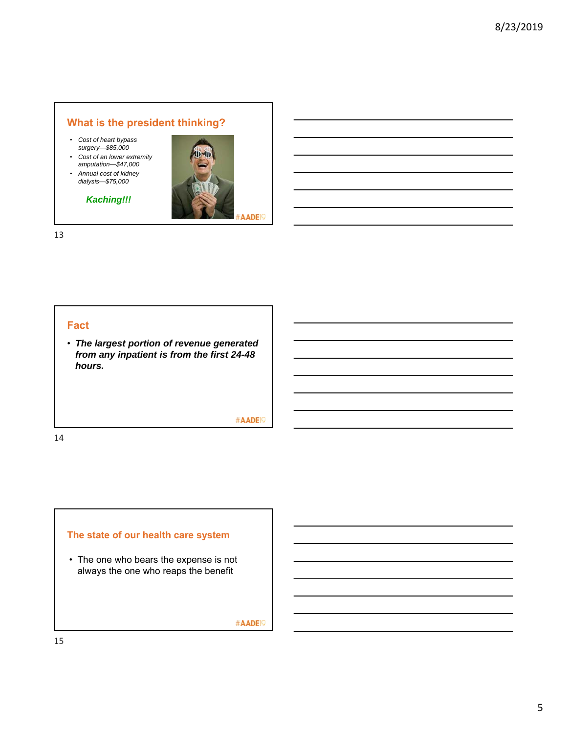## **What is the president thinking?**

- *Cost of heart bypass surgery—\$85,000*
- *Cost of an lower extremity amputation—\$47,000*
- *Annual cost of kidney dialysis—\$75,000*

### *Kaching!!!*



13

### **Fact**

• *The largest portion of revenue generated from any inpatient is from the first 24-48 hours.*

#AADE<sup>19</sup>

14

# **The state of our health care system**

• The one who bears the expense is not always the one who reaps the benefit

#AADE<sup>19</sup>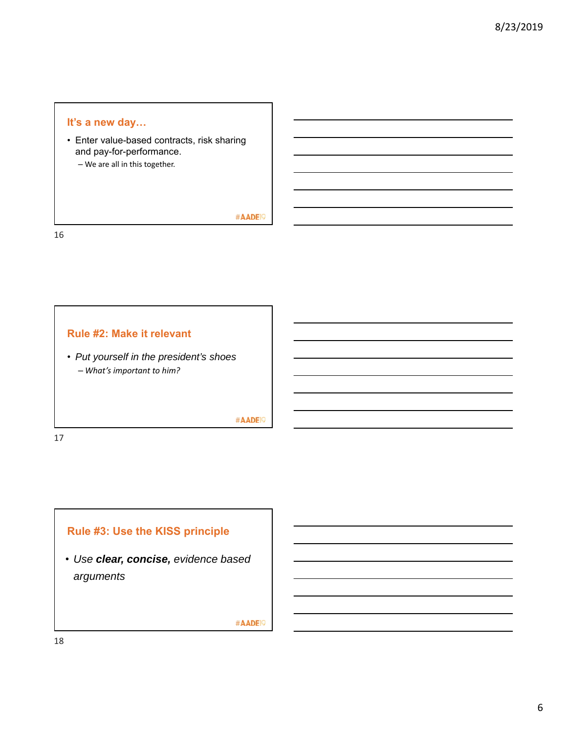### **It's a new day…**

• Enter value-based contracts, risk sharing and pay-for-performance.

– We are all in this together.

#AADE<sup>19</sup>

16

### **Rule #2: Make it relevant**

• *Put yourself in the president's shoes* – *What's important to him?*

#AADE<sup>19</sup>

17



• *Use clear, concise, evidence based arguments*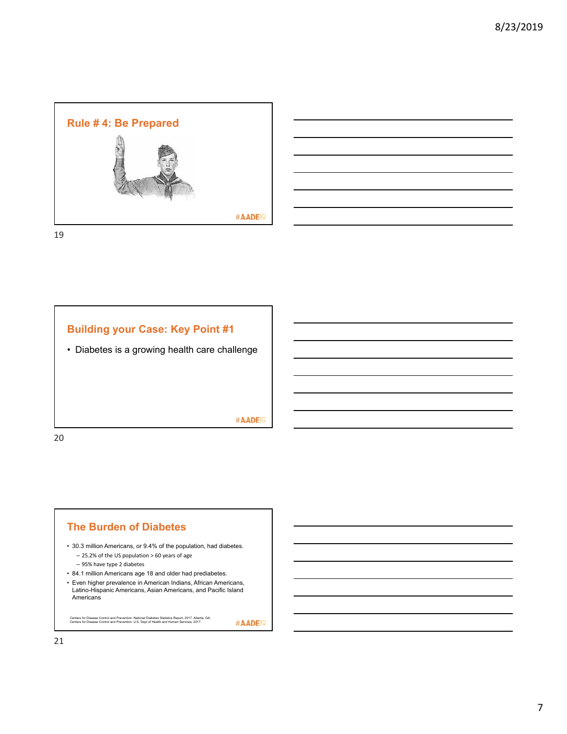

19



# **The Burden of Diabetes**

- 30.3 million Americans, or 9.4% of the population, had diabetes.
	- 25.2% of the US population > 60 years of age
	- 95% have type 2 diabetes
- 84.1 million Americans age 18 and older had prediabetes.
- Even higher prevalence in American Indians, African Americans, Latino-Hispanic Americans, Asian Americans, and Pacific Island Americans<sup>1</sup>

Centers for Disease Control and Prevention. National Diabetes Statistics Report, 2017. Atlanta, GA: Centers for Disease Control and Prevention, U.S. Dept of Health and Human Services; 2017.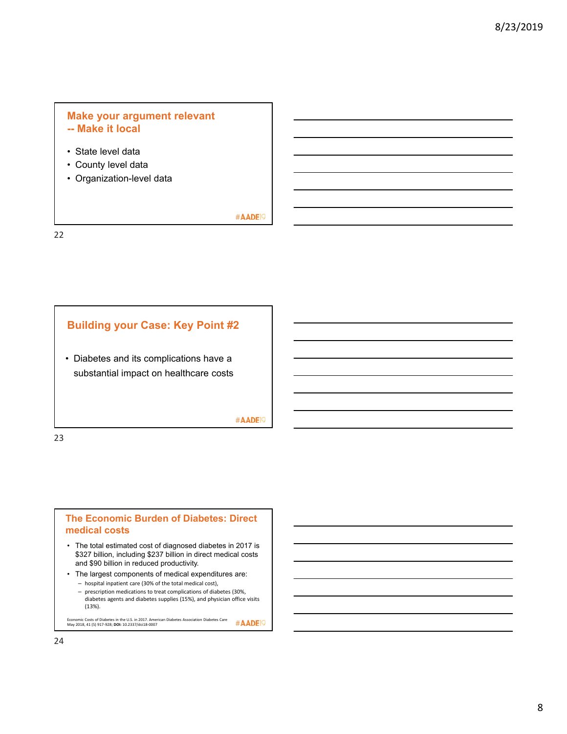### **Make your argument relevant -- Make it local**

- State level data
- County level data
- Organization-level data

### #AADE<sup>19</sup>

22

### **Building your Case: Key Point #2**

• Diabetes and its complications have a substantial impact on healthcare costs

#AADE<sup>19</sup>

23

### **The Economic Burden of Diabetes: Direct medical costs**

- The total estimated cost of diagnosed diabetes in 2017 is \$327 billion, including \$237 billion in direct medical costs and \$90 billion in reduced productivity.
- The largest components of medical expenditures are:
	- hospital inpatient care (30% of the total medical cost),
	- prescription medications to treat complications of diabetes (30%, diabetes agents and diabetes supplies (15%), and physician office visits (13%).

Economic Costs of Diabetes in the U.S. in 2017. American Diabetes Association Diabetes Care May 2018, 41 (5) 917‐928; **DOI:** 10.2337/dci18‐0007 #AADE<sup>19</sup>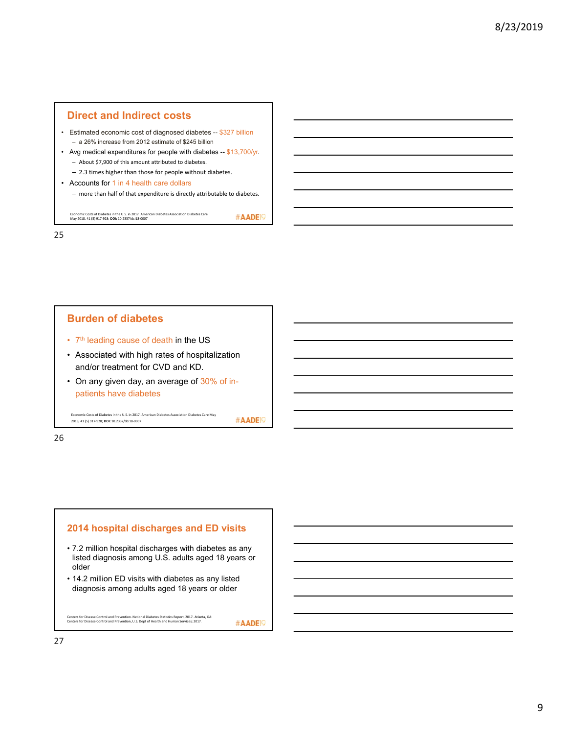#### **Direct and Indirect costs**

- Estimated economic cost of diagnosed diabetes -- \$327 billion – a 26% increase from 2012 estimate of \$245 billion
- Avg medical expenditures for people with diabetes -- \$13,700/yr. – About \$7,900 of this amount attributed to diabetes.
	- 2.3 times higher than those for people without diabetes.
- Accounts for 1 in 4 health care dollars
	- more than half of that expenditure is directly attributable to diabetes.

#AADE<sup>19</sup>

Economic Costs of Diabetes in the U.S. in 2017. American Diabetes Association Diabetes Care May 2018, 41 (5) 917‐928; **DOI:** 10.2337/dci18‐0007

25

### **Burden of diabetes** • 7<sup>th</sup> leading cause of death in the US • Associated with high rates of hospitalization and/or treatment for CVD and KD. • On any given day, an average of 30% of inpatients have diabetes Economic Costs of Diabetes in the U.S. in 2017. American Diabetes Association Diabetes Care May #AADE<sup>19</sup> 2018, 41 (5) 917‐928; **DOI:** 10.2337/dci18‐0007

26

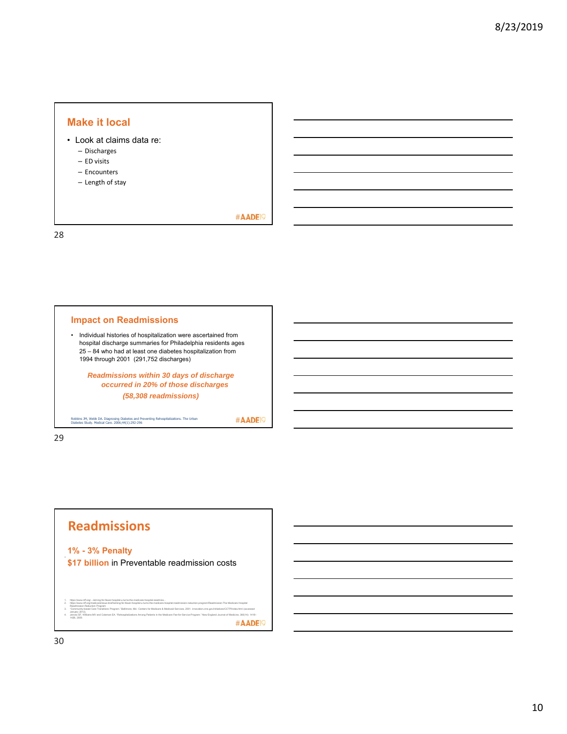### **Make it local**

- Look at claims data re:
	- Discharges
	- ED visits
	- Encounters
	- Length of stay

#AADE<sup>19</sup>

٦

28

л

| hospital discharge summaries for Philadelphia residents ages<br>25 – 84 who had at least one diabetes hospitalization from<br>1994 through 2001 (291,752 discharges)<br>Readmissions within 30 days of discharge |
|------------------------------------------------------------------------------------------------------------------------------------------------------------------------------------------------------------------|
|                                                                                                                                                                                                                  |
|                                                                                                                                                                                                                  |
|                                                                                                                                                                                                                  |
|                                                                                                                                                                                                                  |
| occurred in 20% of those discharges                                                                                                                                                                              |
| (58,308 readmissions)                                                                                                                                                                                            |

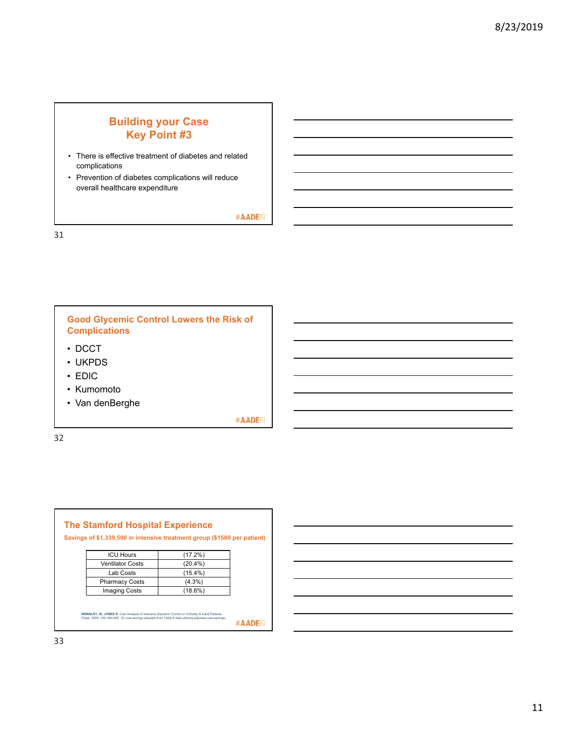## **Building your Case Key Point #3**

- There is effective treatment of diabetes and related complications
- Prevention of diabetes complications will reduce overall healthcare expenditure

#AADE<sup>19</sup>

31

**Good Glycemic Control Lowers the Risk of Complications**

- DCCT
- UKPDS
- EDIC
- Kumomoto
- Van denBerghe

#AADE<sup>19</sup>

| <b>ICU Hours</b>        | (17.2%)    |  |
|-------------------------|------------|--|
| <b>Ventilator Costs</b> | $(20.4\%)$ |  |
| Lab Costs               | $(15.4\%)$ |  |
| <b>Pharmacy Costs</b>   | $(4.3\%)$  |  |
| <b>Imaging Costs</b>    | $(18.6\%)$ |  |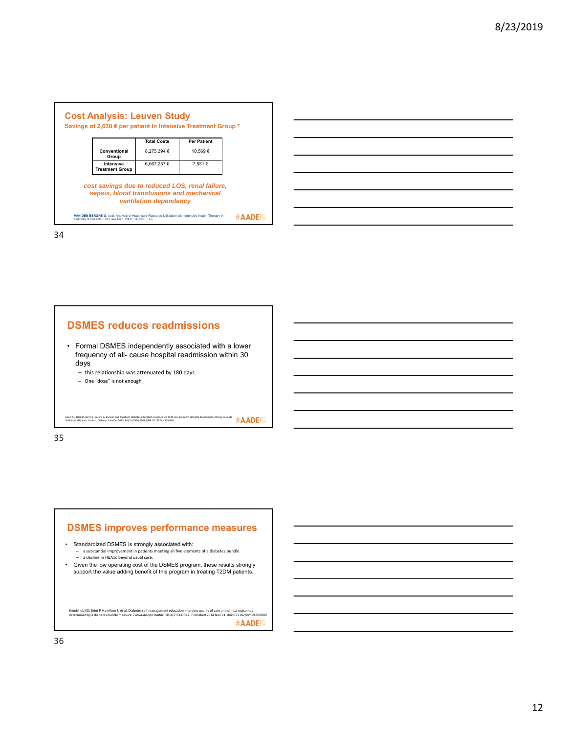



34

#### **DSMES reduces readmissions**

- Formal DSMES independently associated with a lower frequency of all- cause hospital readmission within 30 days
	- this relationship was attenuated by 180 days.
	- One "dose" is not enough

Healy SJ, Black D, Harris C, Lorenz A, Dungan KM. Inpatient Diabetes Education is Associated With Less Frequent Hospital Readmission Among Patients<br>With Poor Glycemic Control. Diabetes Care Oct 2013, 36 (10) 2960-2967; DOI

35

#### **DSMES improves performance measures**

- Standardized DSMES is strongly associated with: – a substantial improvement in patients meeting all five elements of a diabetes bundle
	- a decline in HbA1c beyond usual care.
- Given the low operating cost of the DSMES program, these results strongly support the value adding benefit of this program in treating T2DM patients.

Brunisholz KD, Briot P, Hamilton S, et al. Diabetes self-management education improves quality of care and clinical outcomes<br>determined by a diabetes bundle measure. *J Multidiscip Healthc.* 2014;7:533–542. Published 2014 #AADE<sup>19</sup>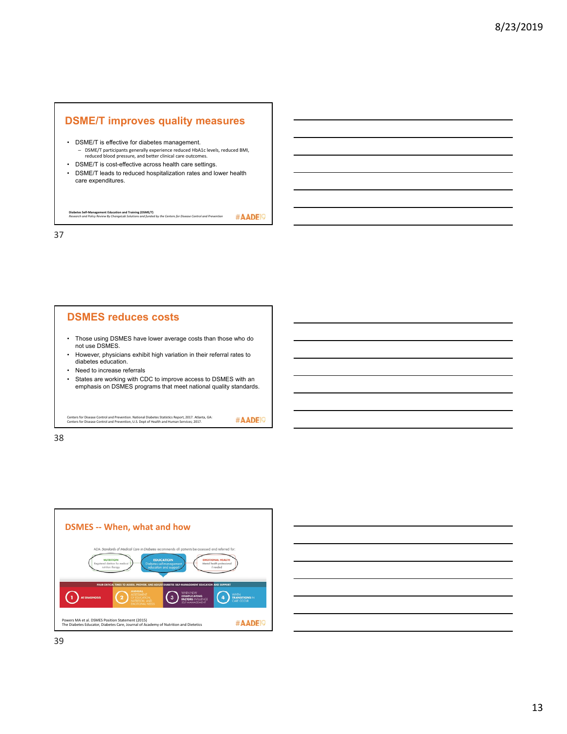### **DSME/T improves quality measures**

- DSME/T is effective for diabetes management. – DSME/T participants generally experience reduced HbA1c levels, reduced BMI, reduced blood pressure, and better clinical care outcomes.
- DSME/T is cost-effective across health care settings.
- DSME/T leads to reduced hospitalization rates and lower health care expenditures.

**Diabetes Self‐Management Education and Training (DSME/T)**  *Research and Policy Review By ChangeLab Solutions and funded by the Centers for Disease Control and Prevention* 

37

# **DSMES reduces costs** • Those using DSMES have lower average costs than those who do not use DSMES. • However, physicians exhibit high variation in their referral rates to diabetes education. • Need to increase referrals • States are working with CDC to improve access to DSMES with an emphasis on DSMES programs that meet national quality standards.

Centers for Disease Control and Prevention. National Diabetes Statistics Report, 2017. Atlanta, GA: Centers for Disease Control and Prevention, U.S. Dept of Health and Human Services; 2017.

#AADE<sup>19</sup>

#AADE<sup>19</sup>



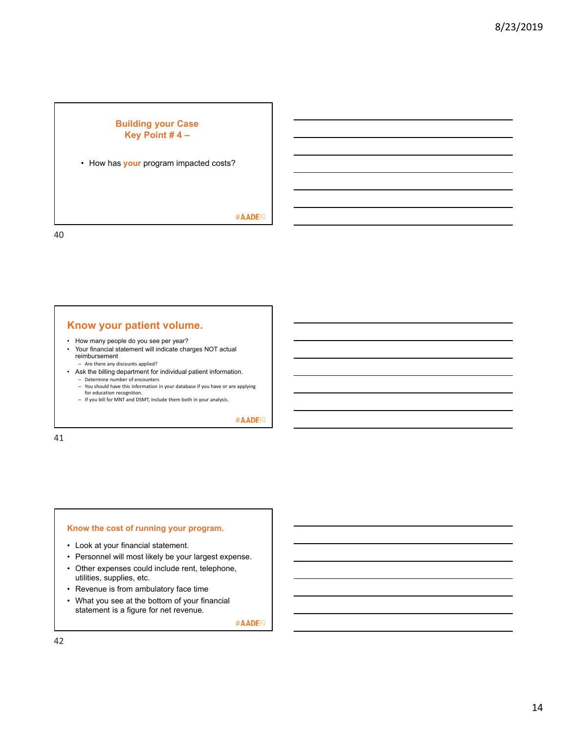### **Building your Case Key Point # 4 –**

• How has **your** program impacted costs?

#AADE<sup>19</sup>

40

### **Know your patient volume.**

- How many people do you see per year?
- Your financial statement will indicate charges NOT actual reimbursement
- Are there any discounts applied? • Ask the billing department for individual patient information.
	- Determine number of encounters
	- You should have this information in your database if you have or are applying for education recognition.
	- If you bill for MNT and DSMT, include them both in your analysis.

#AADE<sup>19</sup>

41

#### **Know the cost of running your program.**

- Look at your financial statement.
- Personnel will most likely be your largest expense.
- Other expenses could include rent, telephone, utilities, supplies, etc.
- Revenue is from ambulatory face time
- What you see at the bottom of your financial statement is a figure for net revenue.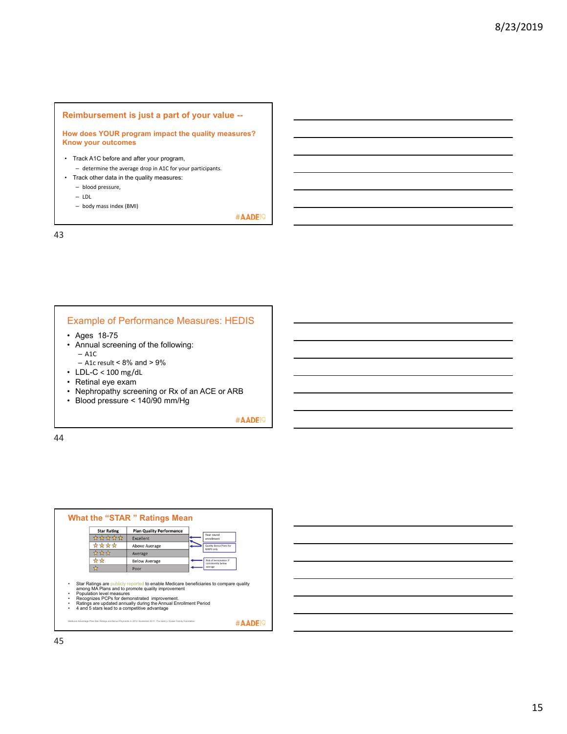#### **Reimbursement is just a part of your value --**

**How does YOUR program impact the quality measures? Know your outcomes**

- Track A1C before and after your program, – determine the average drop in A1C for your participants.
- Track other data in the quality measures:
	- blood pressure,
	- LDL
	- body mass index (BMI)

#AADE<sup>19</sup>

43

#### Example of Performance Measures: HEDIS

- Ages 18-75
- Annual screening of the following: – A1C
- A1c result <  $8\%$  and >  $9\%$
- LDL-C < 100 mg/dL
- Retinal eye exam
- Nephropathy screening or Rx of an ACE or ARB
- Blood pressure < 140/90 mm/Hg

#AADE<sup>19</sup>

| <b>Star Rating</b> | <b>Plan Quality Performance</b> |                                              |
|--------------------|---------------------------------|----------------------------------------------|
| *****              | <b>Excellent</b>                | Year round<br>enrollment                     |
| ****               | <b>Above Average</b>            | Quality Bonus Plans for<br>MAPD only         |
| ***                | Average                         |                                              |
| ☆☆                 | <b>Below Average</b>            | Risk of termination if<br>consistently below |
| ☆                  | Poor                            | average                                      |
|                    |                                 |                                              |

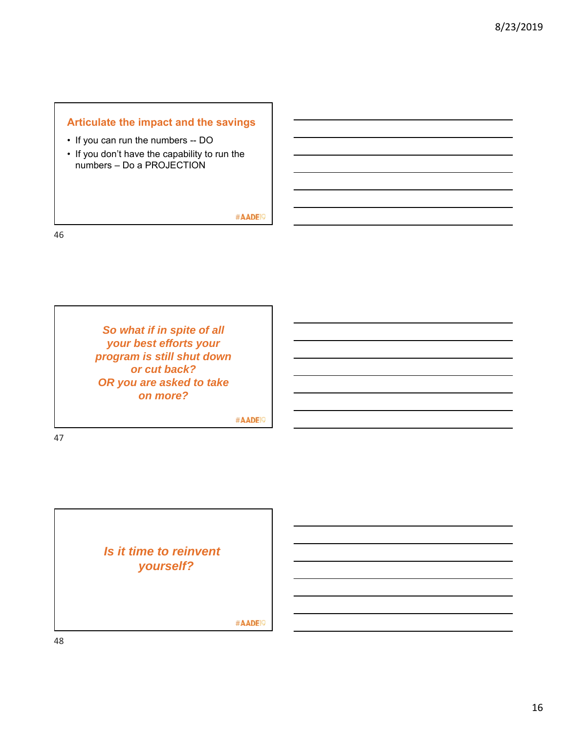## **Articulate the impact and the savings**

- If you can run the numbers -- DO
- If you don't have the capability to run the numbers – Do a PROJECTION

#AADE<sup>19</sup>

46

*So what if in spite of all your best efforts your program is still shut down or cut back? OR you are asked to take on more?*

#AADE<sup>19</sup>

*Is it time to reinvent yourself?*

#AADE<sup>19</sup>